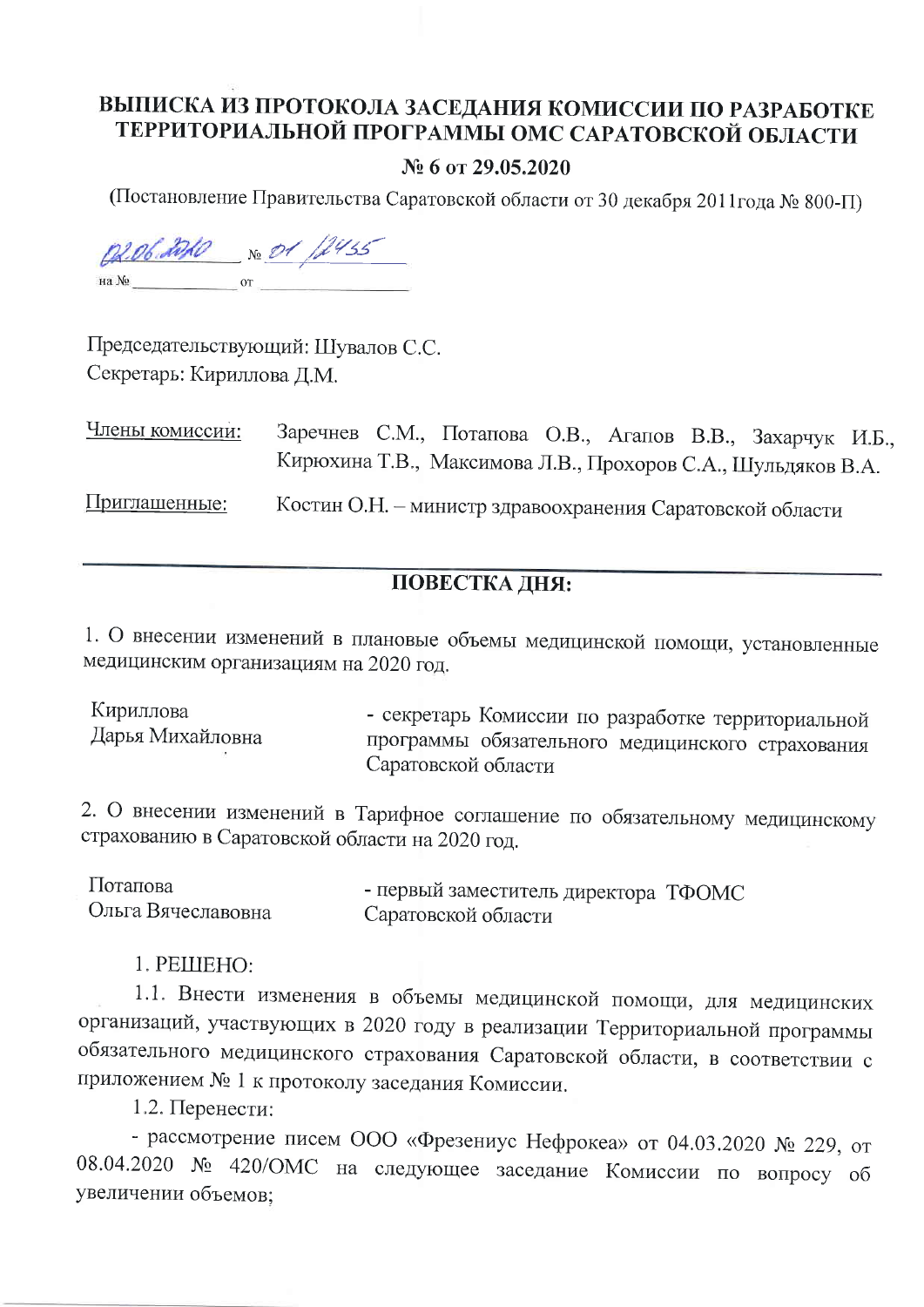## ВЫПИСКА ИЗ ПРОТОКОЛА ЗАСЕДАНИЯ КОМИССИИ ПО РАЗРАБОТКЕ ТЕРРИТОРИАЛЬНОЙ ПРОГРАММЫ ОМС САРАТОВСКОЙ ОБЛАСТИ

## № 6 от 29.05.2020

(Постановление Правительства Саратовской области от 30 декабря 2011года № 800-П)

02.06.2020 No. 01 /2435  $\overline{\text{or}}$ на №

Председательствующий: Шувалов С.С. Секретарь: Кириллова Д.М.

Заречнев С.М., Потапова О.В., Агапов В.В., Захарчук И.Б., Члены комиссии: Кирюхина Т.В., Максимова Л.В., Прохоров С.А., Шульдяков В.А. Приглашенные: Костин О.Н. - министр здравоохранения Саратовской области

## ПОВЕСТКА ДНЯ:

1. О внесении изменений в плановые объемы медицинской помощи, установленные медицинским организациям на 2020 год.

Кириллова - секретарь Комиссии по разработке территориальной Дарья Михайловна программы обязательного медицинского страхования Саратовской области

2. О внесении изменений в Тарифное соглашение по обязательному медицинскому страхованию в Саратовской области на 2020 год.

| Потапова           | - первый заместитель директора ТФОМС |  |
|--------------------|--------------------------------------|--|
| Ольга Вячеславовна | Саратовской области                  |  |

1. PEILIEHO:

1.1. Внести изменения в объемы медицинской помощи, для медицинских организаций, участвующих в 2020 году в реализации Территориальной программы обязательного медицинского страхования Саратовской области, в соответствии с приложением № 1 к протоколу заседания Комиссии.

1.2. Перенести:

- рассмотрение писем ООО «Фрезениус Нефрокеа» от 04.03.2020 № 229, от 08.04.2020 № 420/ОМС на следующее заседание Комиссии по вопросу об увеличении объемов;